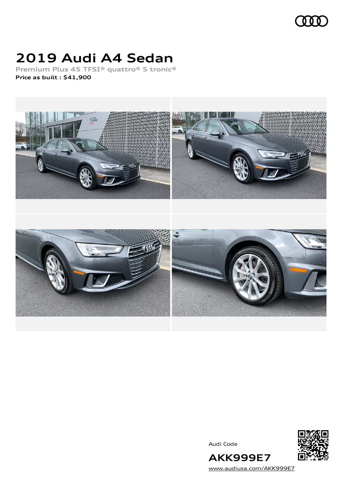

# **2019 Audi A4 Sedan**

**Premium Plus 45 TFSI® quattro® S tronic® Price as built [:](#page-8-0) \$41,900**



Audi Code



[www.audiusa.com/AKK999E7](https://www.audiusa.com/AKK999E7)

**AKK999E7**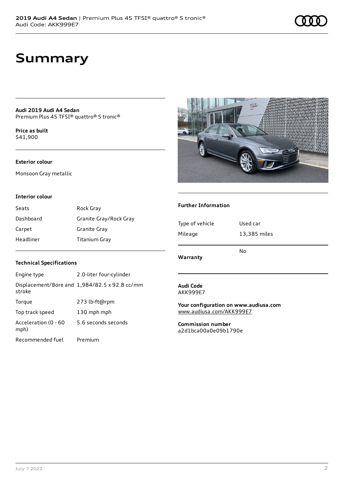### **Summary**

**Audi 2019 Audi A4 Sedan** Premium Plus 45 TFSI® quattro® S tronic®

**Price as buil[t](#page-8-0)** \$41,900

#### **Exterior colour**

Monsoon Gray metallic



#### **Interior colour**

| Seats     | Rock Gray              |
|-----------|------------------------|
| Dashboard | Granite Gray/Rock Gray |
| Carpet    | Granite Gray           |
| Headliner | Titanium Gray          |

#### **Technical Specifications**

| Engine type                  | 2.0-liter four-cylinder                       |
|------------------------------|-----------------------------------------------|
| stroke                       | Displacement/Bore and 1,984/82.5 x 92.8 cc/mm |
| Torque                       | 273 lb-ft@rpm                                 |
| Top track speed              | 130 mph mph                                   |
| Acceleration (0 - 60<br>mph) | 5.6 seconds seconds                           |
| Recommended fuel             | Premium                                       |

#### **Further Information**

| Type of vehicle | Used car     |
|-----------------|--------------|
| Mileage         | 13,385 miles |
| Warranty        | No           |

#### **Audi Code** AKK999E7

**Your configuration on www.audiusa.com** [www.audiusa.com/AKK999E7](https://www.audiusa.com/AKK999E7)

**Commission number** a2d1bca00a0e09b1790e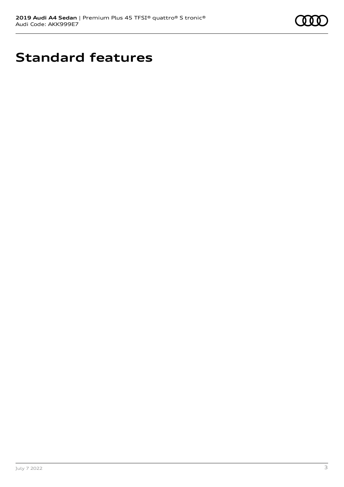

# **Standard features**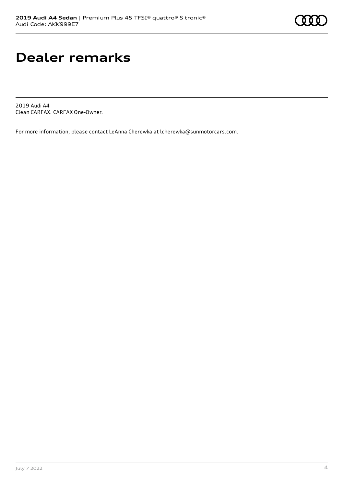## **Dealer remarks**

2019 Audi A4 Clean CARFAX. CARFAX One-Owner.

For more information, please contact LeAnna Cherewka at lcherewka@sunmotorcars.com.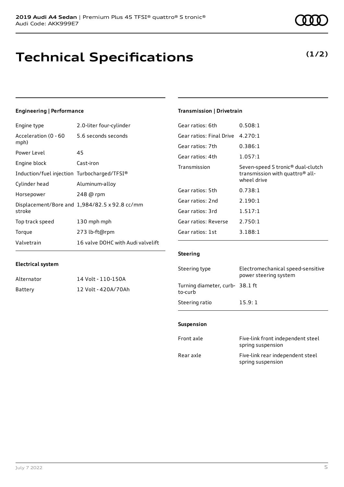### **Technical Specifications**

### **Engineering | Performance**

| Engine type                                 | 2.0-liter four-cylinder                       |
|---------------------------------------------|-----------------------------------------------|
| Acceleration (0 - 60<br>mph)                | 5.6 seconds seconds                           |
| Power Level                                 | 45                                            |
| Engine block                                | Cast-iron                                     |
| Induction/fuel injection Turbocharged/TFSI® |                                               |
| Cylinder head                               | Aluminum-alloy                                |
| Horsepower                                  | 248 @ rpm                                     |
| stroke                                      | Displacement/Bore and 1,984/82.5 x 92.8 cc/mm |
| Top track speed                             | 130 mph mph                                   |
| Torque                                      | 273 lb-ft@rpm                                 |
| Valvetrain                                  | 16 valve DOHC with Audi valvelift             |

#### **Transmission | Drivetrain**

| 0.508:1                                                                                                     |
|-------------------------------------------------------------------------------------------------------------|
| 4.270:1                                                                                                     |
| 0.386:1                                                                                                     |
| 1.057:1                                                                                                     |
| Seven-speed S tronic <sup>®</sup> dual-clutch<br>transmission with quattro <sup>®</sup> all-<br>wheel drive |
| 0.738:1                                                                                                     |
| 2.190:1                                                                                                     |
| 1.517:1                                                                                                     |
| 2.750:1                                                                                                     |
| 3.188:1                                                                                                     |
|                                                                                                             |

#### **Electrical system**

| Alternator | 14 Volt - 110-150A  |
|------------|---------------------|
| Battery    | 12 Volt - 420A/70Ah |

#### **Steering**

| Steering type                             | Electromechanical speed-sensitive<br>power steering system |
|-------------------------------------------|------------------------------------------------------------|
| Turning diameter, curb-38.1 ft<br>to-curb |                                                            |
| Steering ratio                            | 15.9:1                                                     |

#### **Suspension**

| Front axle | Five-link front independent steel<br>spring suspension |
|------------|--------------------------------------------------------|
| Rear axle  | Five-link rear independent steel<br>spring suspension  |

### **(1/2)**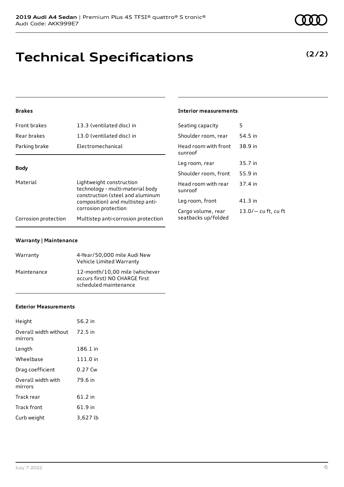# **Technical Specifications**

#### **Brakes**

| Front brakes                                                                                                                                     | 13.3 (ventilated disc) in                                   | Seating capacity                          | 5                    |
|--------------------------------------------------------------------------------------------------------------------------------------------------|-------------------------------------------------------------|-------------------------------------------|----------------------|
| Rear brakes                                                                                                                                      | 13.0 (ventilated disc) in                                   | Shoulder room, rear                       | 54.5 in              |
| Parking brake                                                                                                                                    | Electromechanical                                           | Head room with front<br>sunroof           | 38.9 in              |
| <b>Body</b>                                                                                                                                      |                                                             | Leg room, rear                            | 35.7 in              |
|                                                                                                                                                  |                                                             | Shoulder room, front                      | 55.9 in              |
| Material<br>Lightweight construction<br>technology - multi-material body<br>construction (steel and aluminum<br>composition) and multistep anti- | Head room with rear<br>sunroof                              | 37.4 in                                   |                      |
|                                                                                                                                                  | Leg room, front                                             | $41.3$ in                                 |                      |
| Corrosion protection                                                                                                                             | corrosion protection<br>Multistep anti-corrosion protection | Cargo volume, rear<br>seatbacks up/folded | $13.0/-$ cu ft, cu f |
|                                                                                                                                                  |                                                             |                                           |                      |

#### **Warranty | Maintenance**

| Warranty    | 4-Year/50,000 mile Audi New<br>Vehicle Limited Warranty                                  |
|-------------|------------------------------------------------------------------------------------------|
| Maintenance | 12-month/10,00 mile (whichever<br>occurs first) NO CHARGE first<br>scheduled maintenance |

#### **Exterior Measurements**

| Height                           | 56.2 in   |
|----------------------------------|-----------|
| Overall width without<br>mirrors | 72.5 in   |
| Length                           | 186.1 in  |
| Wheelbase                        | 111.0 in  |
| Drag coefficient                 | 0.27 Cw   |
| Overall width with<br>mirrors    | 79.6 in   |
| Track rear                       | $61.2$ in |
| Track front                      | 61.9 in   |
| Curb weight                      | 3,627 lb  |

**Interior measurements**

| Seating Capacity                          |                       |
|-------------------------------------------|-----------------------|
| Shoulder room, rear                       | 54.5 in               |
| Head room with front<br>sunroof           | 38.9 in               |
| Leg room, rear                            | 35.7 in               |
| Shoulder room, front                      | 55.9 in               |
| Head room with rear<br>sunroof            | 37.4 in               |
| Leg room, front                           | 41.3 in               |
| Cargo volume, rear<br>seatbacks up/folded | $13.0/-$ cu ft, cu ft |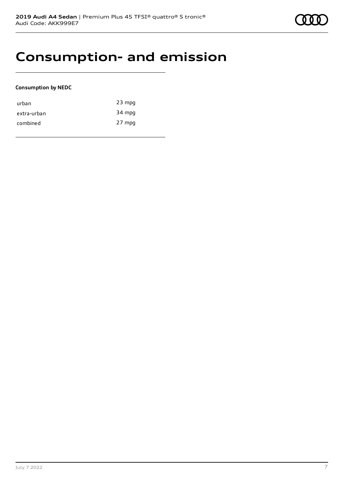### **Consumption- and emission**

#### **Consumption by NEDC**

| urban       | $23$ mpg |
|-------------|----------|
| extra-urban | 34 mpg   |
| combined    | 27 mpg   |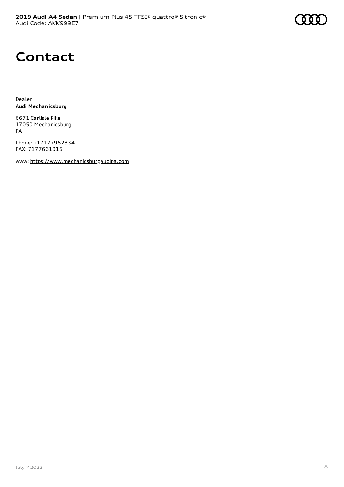# **Contact**

Dealer **Audi Mechanicsburg**

6671 Carlisle Pike 17050 Mechanicsburg PA

Phone: +17177962834 FAX: 7177661015

www: [https://www.mechanicsburgaudipa.com](https://www.mechanicsburgaudipa.com/)